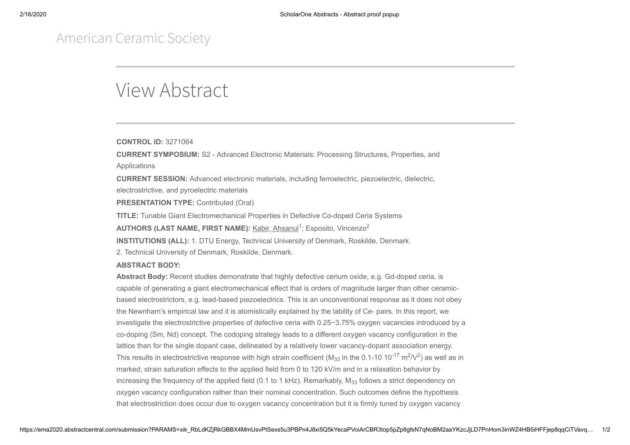## American Ceramic Society

## View Abstract

**CONTROL ID:** 3271064

**CURRENT SYMPOSIUM:** S2 - Advanced Electronic Materials: Processing Structures, Properties, and Applications

**CURRENT SESSION:** Advanced electronic materials, including ferroelectric, piezoelectric, dielectric, electrostrictive, and pyroelectric materials

**PRESENTATION TYPE:** Contributed (Oral)

**TITLE:** Tunable Giant Electromechanical Properties in Defective Co-doped Ceria Systems

AUTHORS (LAST NAME, FIRST NAME): Kabir, Ahsanul<sup>1</sup>; Esposito, Vincenzo<sup>2</sup>

**INSTITUTIONS (ALL):** 1. DTU Energy, Technical University of Denmark, Roskilde, Denmark.

2. Technical University of Denmark, Roskilde, Denmark.

## **ABSTRACT BODY:**

**Abstract Body:** Recent studies demonstrate that highly defective cerium oxide, e.g. Gd-doped ceria, is capable of generating a giant electromechanical effect that is orders of magnitude larger than other ceramicbased electrostrictors, e.g. lead-based piezoelectrics. This is an unconventional response as it does not obey the Newnham's empirical law and it is atomistically explained by the lability of Ce- pairs. In this report, we investigate the electrostrictive properties of defective ceria with 0.25−3.75% oxygen vacancies introduced by a co-doping (Sm, Nd) concept. The codoping strategy leads to a different oxygen vacancy configuration in the lattice than for the single dopant case, delineated by a relatively lower vacancy-dopant association energy. This results in electrostrictive response with high strain coefficient (M $_{33}$  in the 0.1-10 10<sup>-17</sup> m $^2$ /V $^2$ ) as well as in marked, strain saturation effects to the applied field from 0 to 120 kV/m and in a relaxation behavior by increasing the frequency of the applied field (0.1 to 1 kHz). Remarkably,  $\mathsf{M}_{33}$  follows a strict dependency on oxygen vacancy configuration rather than their nominal concentration. Such outcomes define the hypothesis that electrostriction does occur due to oxygen vacancy concentration but it is firmly tuned by oxygen vacancy